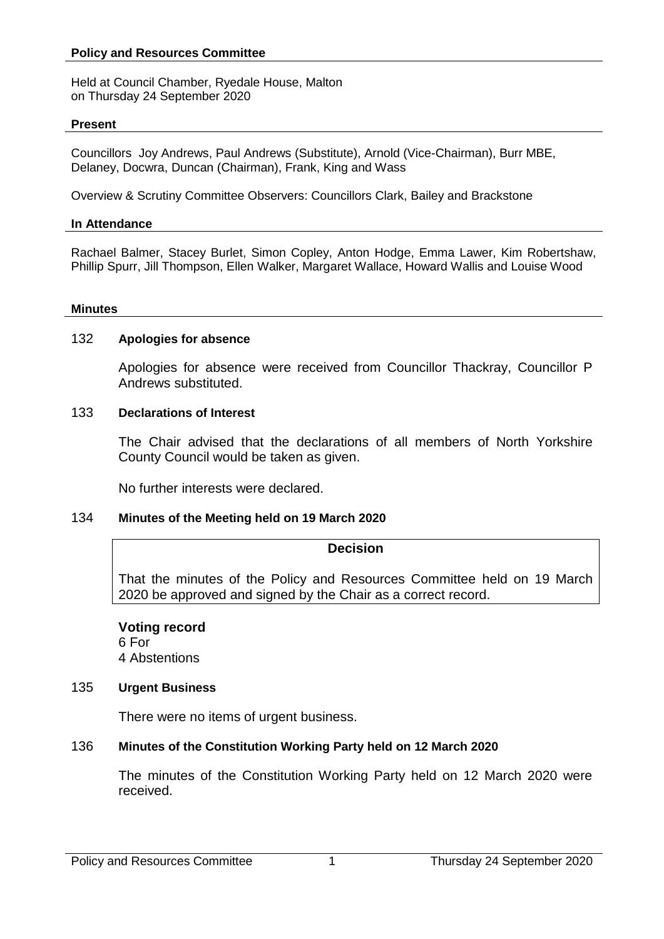#### **Policy and Resources Committee**

Held at Council Chamber, Ryedale House, Malton on Thursday 24 September 2020

#### **Present**

Councillors Joy Andrews, Paul Andrews (Substitute), Arnold (Vice-Chairman), Burr MBE, Delaney, Docwra, Duncan (Chairman), Frank, King and Wass

Overview & Scrutiny Committee Observers: Councillors Clark, Bailey and Brackstone

#### **In Attendance**

Rachael Balmer, Stacey Burlet, Simon Copley, Anton Hodge, Emma Lawer, Kim Robertshaw, Phillip Spurr, Jill Thompson, Ellen Walker, Margaret Wallace, Howard Wallis and Louise Wood

#### **Minutes**

#### 132 **Apologies for absence**

Apologies for absence were received from Councillor Thackray, Councillor P Andrews substituted.

#### 133 **Declarations of Interest**

The Chair advised that the declarations of all members of North Yorkshire County Council would be taken as given.

No further interests were declared.

### 134 **Minutes of the Meeting held on 19 March 2020**

#### **Decision**

That the minutes of the Policy and Resources Committee held on 19 March 2020 be approved and signed by the Chair as a correct record.

# **Voting record**

6 For 4 Abstentions

### 135 **Urgent Business**

There were no items of urgent business.

### 136 **Minutes of the Constitution Working Party held on 12 March 2020**

The minutes of the Constitution Working Party held on 12 March 2020 were received.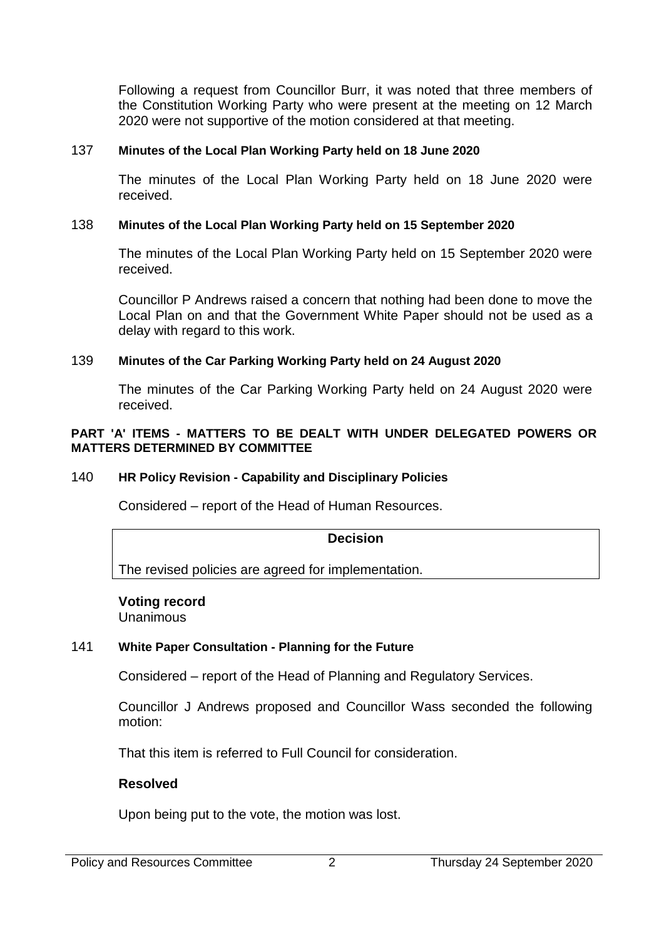Following a request from Councillor Burr, it was noted that three members of the Constitution Working Party who were present at the meeting on 12 March 2020 were not supportive of the motion considered at that meeting.

# 137 **Minutes of the Local Plan Working Party held on 18 June 2020**

The minutes of the Local Plan Working Party held on 18 June 2020 were received.

# 138 **Minutes of the Local Plan Working Party held on 15 September 2020**

The minutes of the Local Plan Working Party held on 15 September 2020 were received.

Councillor P Andrews raised a concern that nothing had been done to move the Local Plan on and that the Government White Paper should not be used as a delay with regard to this work.

# 139 **Minutes of the Car Parking Working Party held on 24 August 2020**

The minutes of the Car Parking Working Party held on 24 August 2020 were received.

### **PART 'A' ITEMS - MATTERS TO BE DEALT WITH UNDER DELEGATED POWERS OR MATTERS DETERMINED BY COMMITTEE**

# 140 **HR Policy Revision - Capability and Disciplinary Policies**

Considered – report of the Head of Human Resources.

### **Decision**

The revised policies are agreed for implementation.

### **Voting record**

Unanimous

# 141 **White Paper Consultation - Planning for the Future**

Considered – report of the Head of Planning and Regulatory Services.

Councillor J Andrews proposed and Councillor Wass seconded the following motion:

That this item is referred to Full Council for consideration.

### **Resolved**

Upon being put to the vote, the motion was lost.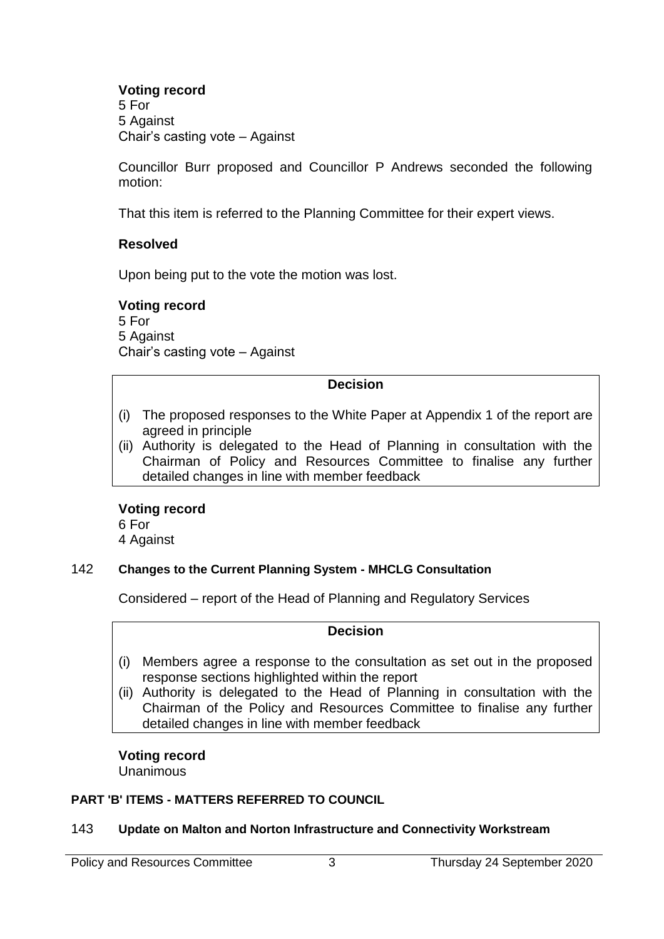# **Voting record**

5 For 5 Against Chair's casting vote – Against

Councillor Burr proposed and Councillor P Andrews seconded the following motion:

That this item is referred to the Planning Committee for their expert views.

# **Resolved**

Upon being put to the vote the motion was lost.

# **Voting record**

5 For 5 Against Chair's casting vote – Against

# **Decision**

- (i) The proposed responses to the White Paper at Appendix 1 of the report are agreed in principle
- (ii) Authority is delegated to the Head of Planning in consultation with the Chairman of Policy and Resources Committee to finalise any further detailed changes in line with member feedback

# **Voting record**

6 For

4 Against

# 142 **Changes to the Current Planning System - MHCLG Consultation**

Considered – report of the Head of Planning and Regulatory Services

# **Decision**

- (i) Members agree a response to the consultation as set out in the proposed response sections highlighted within the report
- (ii) Authority is delegated to the Head of Planning in consultation with the Chairman of the Policy and Resources Committee to finalise any further detailed changes in line with member feedback

**Voting record Unanimous** 

# **PART 'B' ITEMS - MATTERS REFERRED TO COUNCIL**

# 143 **Update on Malton and Norton Infrastructure and Connectivity Workstream**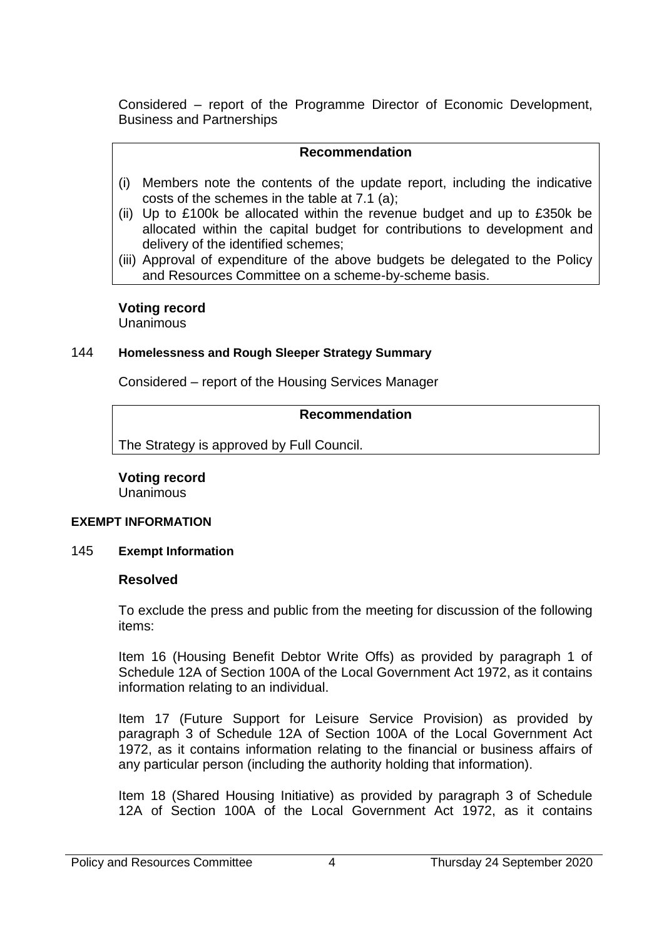Considered – report of the Programme Director of Economic Development, Business and Partnerships

# **Recommendation**

- (i) Members note the contents of the update report, including the indicative costs of the schemes in the table at 7.1 (a);
- (ii) Up to £100k be allocated within the revenue budget and up to £350k be allocated within the capital budget for contributions to development and delivery of the identified schemes;
- (iii) Approval of expenditure of the above budgets be delegated to the Policy and Resources Committee on a scheme-by-scheme basis.

# **Voting record**

**Unanimous** 

### 144 **Homelessness and Rough Sleeper Strategy Summary**

Considered – report of the Housing Services Manager

# **Recommendation**

The Strategy is approved by Full Council.

# **Voting record**

Unanimous

### **EXEMPT INFORMATION**

### 145 **Exempt Information**

# **Resolved**

To exclude the press and public from the meeting for discussion of the following items:

Item 16 (Housing Benefit Debtor Write Offs) as provided by paragraph 1 of Schedule 12A of Section 100A of the Local Government Act 1972, as it contains information relating to an individual.

Item 17 (Future Support for Leisure Service Provision) as provided by paragraph 3 of Schedule 12A of Section 100A of the Local Government Act 1972, as it contains information relating to the financial or business affairs of any particular person (including the authority holding that information).

Item 18 (Shared Housing Initiative) as provided by paragraph 3 of Schedule 12A of Section 100A of the Local Government Act 1972, as it contains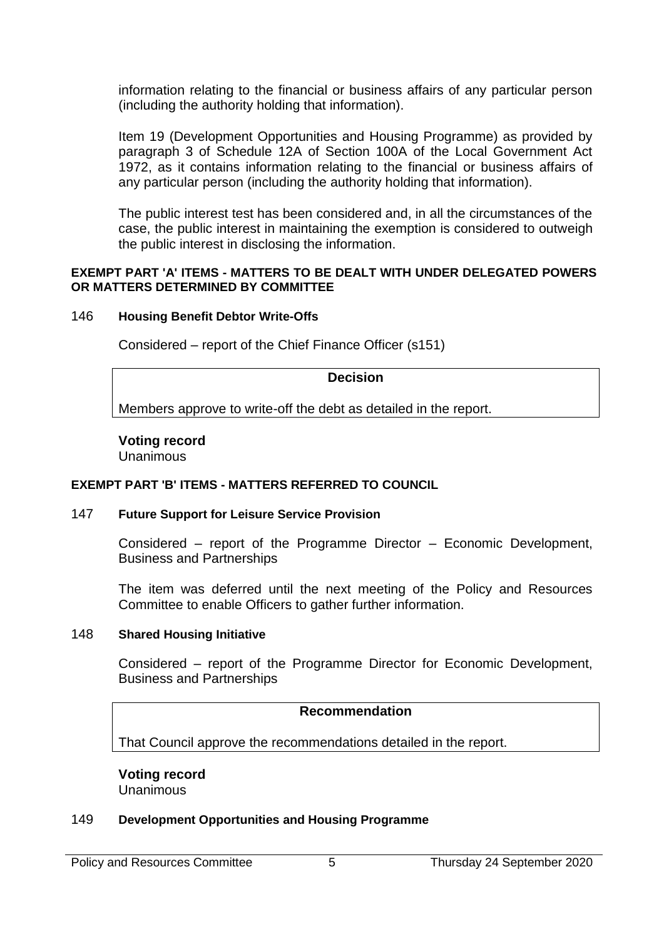information relating to the financial or business affairs of any particular person (including the authority holding that information).

Item 19 (Development Opportunities and Housing Programme) as provided by paragraph 3 of Schedule 12A of Section 100A of the Local Government Act 1972, as it contains information relating to the financial or business affairs of any particular person (including the authority holding that information).

The public interest test has been considered and, in all the circumstances of the case, the public interest in maintaining the exemption is considered to outweigh the public interest in disclosing the information.

#### **EXEMPT PART 'A' ITEMS - MATTERS TO BE DEALT WITH UNDER DELEGATED POWERS OR MATTERS DETERMINED BY COMMITTEE**

#### 146 **Housing Benefit Debtor Write-Offs**

Considered – report of the Chief Finance Officer (s151)

### **Decision**

Members approve to write-off the debt as detailed in the report.

# **Voting record**

Unanimous

### **EXEMPT PART 'B' ITEMS - MATTERS REFERRED TO COUNCIL**

### 147 **Future Support for Leisure Service Provision**

Considered – report of the Programme Director – Economic Development, Business and Partnerships

The item was deferred until the next meeting of the Policy and Resources Committee to enable Officers to gather further information.

### 148 **Shared Housing Initiative**

Considered – report of the Programme Director for Economic Development, Business and Partnerships

### **Recommendation**

That Council approve the recommendations detailed in the report.

**Voting record** Unanimous

#### 149 **Development Opportunities and Housing Programme**